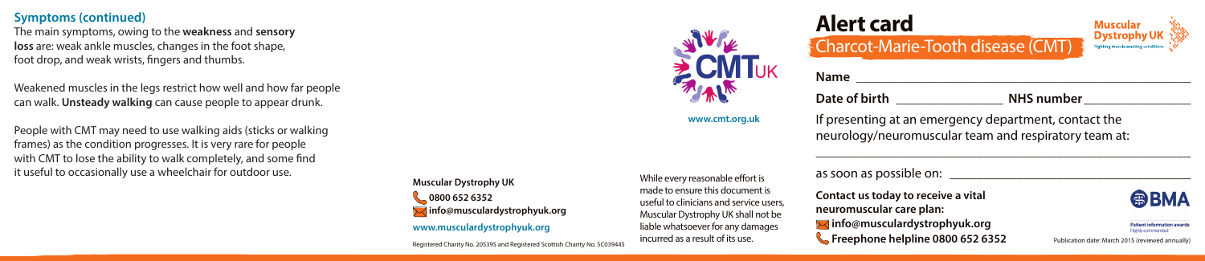#### **Symptoms (continued)**

The main symptoms, owing to the **weakness** and **sensory loss** are: weak ankle muscles, changes in the foot shape, foot drop, and weak wrists, fingers and thumbs.

Weakened muscles in the legs restrict how well and how far people can walk. **Unsteady walking** can cause people to appear drunk.

People with CMT may need to use walking aids (sticks or walking frames) as the condition progresses. It is very rare for people with CMT to lose the ability to walk completely, and some find it useful to occasionally use a wheelchair for outdoor use.

**Muscular Dystrophy UK 0800 652 6352 info@musculardystrophyuk.org www.musculardystrophyuk.org**

Registered Charity No. 205395 and Registered Scottish Charity No. SC039445

While every reasonable effort is made to ensure this document is useful to clinicians and service users, Muscular Dystrophy UK shall not be liable whatsoever for any damages incurred as a result of its use.



**Alert card**

**Contact us today to receive a vital neuromuscular care plan: info@musculardystrophyuk.org Freephone helpline 0800 652 6352**



**www.cmt.org.uk**

If presenting at an emergency department, contact the neurology/neuromuscular team and respiratory team at:

**Date of birth \_\_\_\_\_\_\_\_\_\_\_\_\_\_\_\_ NHS number\_\_\_\_\_\_\_\_\_\_\_\_\_\_\_\_**

**Name \_\_\_\_\_\_\_\_\_\_\_\_\_\_\_\_\_\_\_\_\_\_\_\_\_\_\_\_\_\_\_\_\_\_\_\_\_\_\_\_\_\_\_\_\_\_\_\_\_\_**

\_\_\_\_\_\_\_\_\_\_\_\_\_\_\_\_\_\_\_\_\_\_\_\_\_\_\_\_\_\_\_\_\_\_\_\_\_\_\_\_\_\_\_\_\_\_\_\_\_\_\_\_\_\_\_\_

# **@BMA**

tient information awards **Fighly commende** Publication date: March 2015 (reviewed annually)